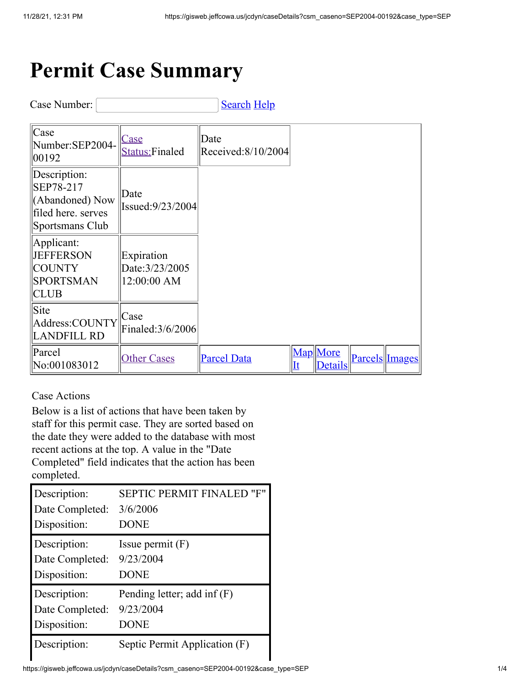## **Permit Case Summary**

Case Number: [Search](javascript:__doPostBack() [Help](javascript:__doPostBack()

| $\vert$ Case<br>Number:SEP2004-<br>00192                                              | <b>Case</b><br><b>Status: Finaled</b>        | Date<br>Received:8/10/2004 |                |                            |                |
|---------------------------------------------------------------------------------------|----------------------------------------------|----------------------------|----------------|----------------------------|----------------|
| Description:<br>SEP78-217<br>(Abandoned) Now<br>filed here. serves<br>Sportsmans Club | Date<br>Issued:9/23/2004                     |                            |                |                            |                |
| Applicant:<br><b>JEFFERSON</b><br><b>COUNTY</b><br><b>SPORTSMAN</b><br><b>CLUB</b>    | Expiration<br>Date: 3/23/2005<br>12:00:00 AM |                            |                |                            |                |
| Site<br>Address:COUNTY<br><b>LANDFILL RD</b>                                          | Case<br>Finaled: 3/6/2006                    |                            |                |                            |                |
| Parcel<br>No:001083012                                                                | <b>Other Cases</b>                           | <b>Parcel Data</b>         | $\mathbf{I}$ t | Map More<br><b>Details</b> | Parcels Images |

Case Actions

Below is a list of actions that have been taken by staff for this permit case. They are sorted based on the date they were added to the database with most recent actions at the top. A value in the "Date Completed" field indicates that the action has been completed.

| Description:<br>Date Completed: | <b>SEPTIC PERMIT FINALED</b><br>"F"<br>3/6/2006<br><b>DONE</b> |
|---------------------------------|----------------------------------------------------------------|
| Disposition:                    |                                                                |
| Description:                    | Issue permit $(F)$                                             |
| Date Completed:                 | 9/23/2004                                                      |
| Disposition:                    | <b>DONE</b>                                                    |
| Description:                    | Pending letter; add inf $(F)$                                  |
| Date Completed:                 | 9/23/2004                                                      |
| Disposition:                    | <b>DONE</b>                                                    |
| Description:                    | Septic Permit Application (F)                                  |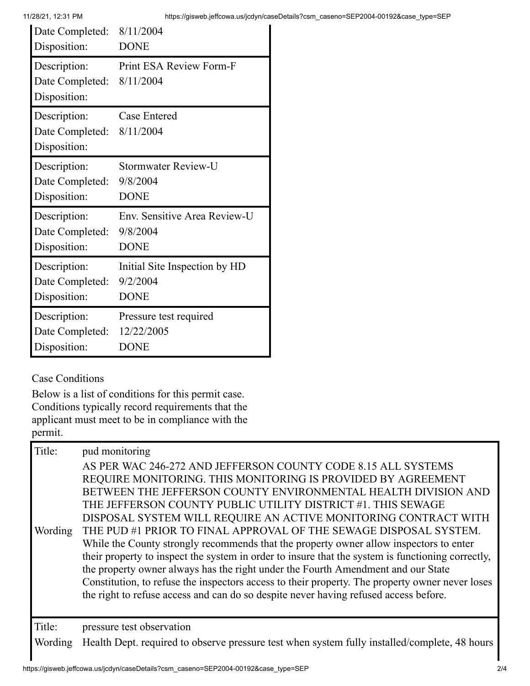| Date Completed: | 8/11/2004                     |
|-----------------|-------------------------------|
| Disposition:    | <b>DONE</b>                   |
| Description:    | Print ESA Review Form-F       |
| Date Completed: | 8/11/2004                     |
| Disposition:    |                               |
| Description:    | <b>Case Entered</b>           |
| Date Completed: | 8/11/2004                     |
| Disposition:    |                               |
| Description:    | <b>Stormwater Review-U</b>    |
| Date Completed: | 9/8/2004                      |
| Disposition:    | <b>DONE</b>                   |
| Description:    | Env. Sensitive Area Review-U  |
| Date Completed: | 9/8/2004                      |
| Disposition:    | <b>DONE</b>                   |
| Description:    | Initial Site Inspection by HD |
| Date Completed: | 9/2/2004                      |
| Disposition:    | <b>DONE</b>                   |
| Description:    | Pressure test required        |
| Date Completed: | 12/22/2005                    |
| Disposition:    | <b>DONE</b>                   |

## Case Conditions

Below is a list of conditions for this permit case. Conditions typically record requirements that the applicant must meet to be in compliance with the permit.

| Title:<br>Wording | pud monitoring<br>AS PER WAC 246-272 AND JEFFERSON COUNTY CODE 8.15 ALL SYSTEMS<br>REQUIRE MONITORING. THIS MONITORING IS PROVIDED BY AGREEMENT<br>BETWEEN THE JEFFERSON COUNTY ENVIRONMENTAL HEALTH DIVISION AND<br>THE JEFFERSON COUNTY PUBLIC UTILITY DISTRICT #1. THIS SEWAGE<br>DISPOSAL SYSTEM WILL REQUIRE AN ACTIVE MONITORING CONTRACT WITH<br>THE PUD #1 PRIOR TO FINAL APPROVAL OF THE SEWAGE DISPOSAL SYSTEM.<br>While the County strongly recommends that the property owner allow inspectors to enter<br>their property to inspect the system in order to insure that the system is functioning correctly,<br>the property owner always has the right under the Fourth Amendment and our State<br>Constitution, to refuse the inspectors access to their property. The property owner never loses |
|-------------------|-----------------------------------------------------------------------------------------------------------------------------------------------------------------------------------------------------------------------------------------------------------------------------------------------------------------------------------------------------------------------------------------------------------------------------------------------------------------------------------------------------------------------------------------------------------------------------------------------------------------------------------------------------------------------------------------------------------------------------------------------------------------------------------------------------------------|
|                   | the right to refuse access and can do so despite never having refused access before.                                                                                                                                                                                                                                                                                                                                                                                                                                                                                                                                                                                                                                                                                                                            |
| Title:            | pressure test observation                                                                                                                                                                                                                                                                                                                                                                                                                                                                                                                                                                                                                                                                                                                                                                                       |
| Wording           | Health Dept. required to observe pressure test when system fully installed/complete, 48 hours                                                                                                                                                                                                                                                                                                                                                                                                                                                                                                                                                                                                                                                                                                                   |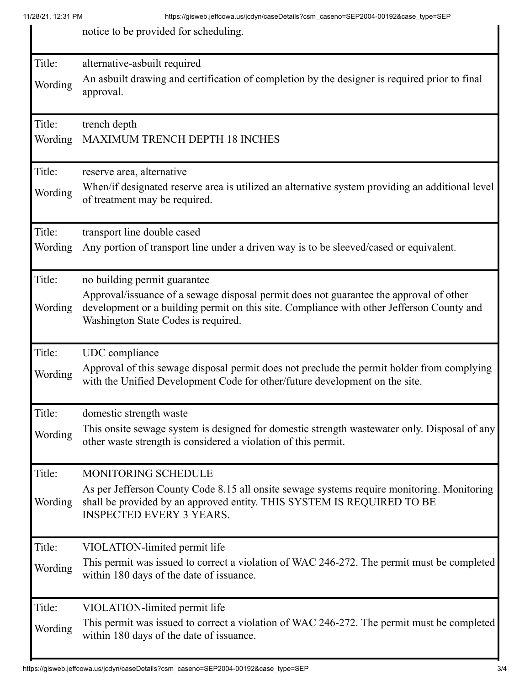notice to be provided for scheduling.

| Title:  | alternative-asbuilt required                                                                                                           |
|---------|----------------------------------------------------------------------------------------------------------------------------------------|
| Wording | An asbuilt drawing and certification of completion by the designer is required prior to final                                          |
|         | approval.                                                                                                                              |
|         |                                                                                                                                        |
| Title:  | trench depth                                                                                                                           |
| Wording | MAXIMUM TRENCH DEPTH 18 INCHES                                                                                                         |
|         |                                                                                                                                        |
| Title:  | reserve area, alternative                                                                                                              |
| Wording | When/if designated reserve area is utilized an alternative system providing an additional level                                        |
|         | of treatment may be required.                                                                                                          |
|         |                                                                                                                                        |
| Title:  | transport line double cased                                                                                                            |
| Wording | Any portion of transport line under a driven way is to be sleeved/cased or equivalent.                                                 |
|         |                                                                                                                                        |
| Title:  | no building permit guarantee                                                                                                           |
|         | Approval/issuance of a sewage disposal permit does not guarantee the approval of other                                                 |
| Wording | development or a building permit on this site. Compliance with other Jefferson County and                                              |
|         | Washington State Codes is required.                                                                                                    |
| Title:  |                                                                                                                                        |
|         | UDC compliance<br>Approval of this sewage disposal permit does not preclude the permit holder from complying                           |
| Wording | with the Unified Development Code for other/future development on the site.                                                            |
|         |                                                                                                                                        |
| Title:  | domestic strength waste                                                                                                                |
|         | This onsite sewage system is designed for domestic strength wastewater only. Disposal of any                                           |
| Wording | other waste strength is considered a violation of this permit.                                                                         |
|         |                                                                                                                                        |
| Title:  | MONITORING SCHEDULE                                                                                                                    |
|         | As per Jefferson County Code 8.15 all onsite sewage systems require monitoring. Monitoring                                             |
| Wording | shall be provided by an approved entity. THIS SYSTEM IS REQUIRED TO BE                                                                 |
|         | <b>INSPECTED EVERY 3 YEARS.</b>                                                                                                        |
|         |                                                                                                                                        |
| Title:  | VIOLATION-limited permit life                                                                                                          |
| Wording | This permit was issued to correct a violation of WAC 246-272. The permit must be completed<br>within 180 days of the date of issuance. |
|         |                                                                                                                                        |
| Title:  | VIOLATION-limited permit life                                                                                                          |
|         | This permit was issued to correct a violation of WAC 246-272. The permit must be completed                                             |
| Wording | within 180 days of the date of issuance.                                                                                               |
|         |                                                                                                                                        |